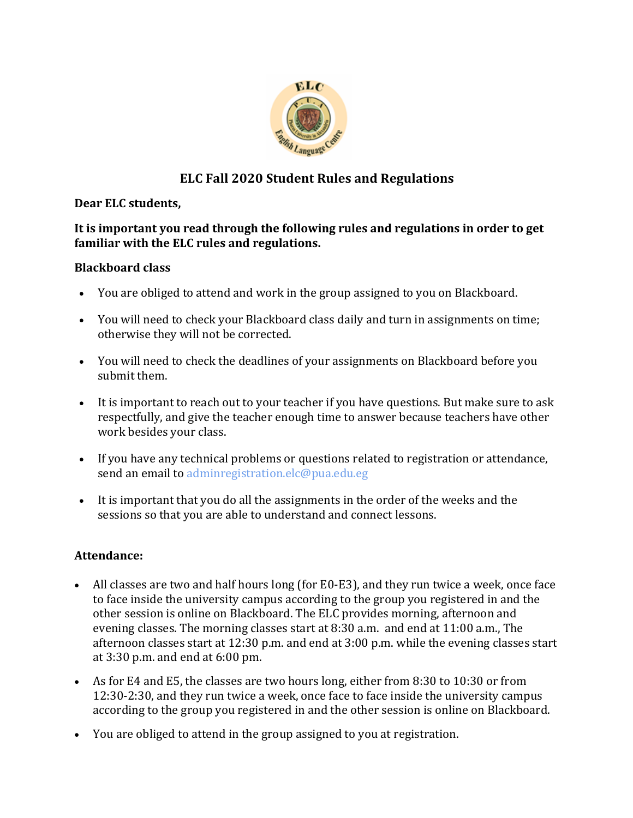

# **ELC Fall 2020 Student Rules and Regulations**

#### **Dear ELC students,**

#### **It is important you read through the following rules and regulations in order to get familiar with the ELC rules and regulations.**

### **Blackboard class**

- You are obliged to attend and work in the group assigned to you on Blackboard.
- You will need to check your Blackboard class daily and turn in assignments on time; otherwise they will not be corrected.
- You will need to check the deadlines of your assignments on Blackboard before you submit them.
- It is important to reach out to your teacher if you have questions. But make sure to ask respectfully, and give the teacher enough time to answer because teachers have other work besides your class.
- If you have any technical problems or questions related to registration or attendance, send an email to adminregistration.elc@pua.edu.eg
- It is important that you do all the assignments in the order of the weeks and the sessions so that you are able to understand and connect lessons.

### **Attendance:**

- All classes are two and half hours long (for E0-E3), and they run twice a week, once face to face inside the university campus according to the group you registered in and the other session is online on Blackboard. The ELC provides morning, afternoon and evening classes. The morning classes start at 8:30 a.m. and end at 11:00 a.m., The afternoon classes start at 12:30 p.m. and end at 3:00 p.m. while the evening classes start at 3:30 p.m. and end at 6:00 pm.
- As for E4 and E5, the classes are two hours long, either from 8:30 to 10:30 or from 12:30-2:30, and they run twice a week, once face to face inside the university campus according to the group you registered in and the other session is online on Blackboard.
- You are obliged to attend in the group assigned to you at registration.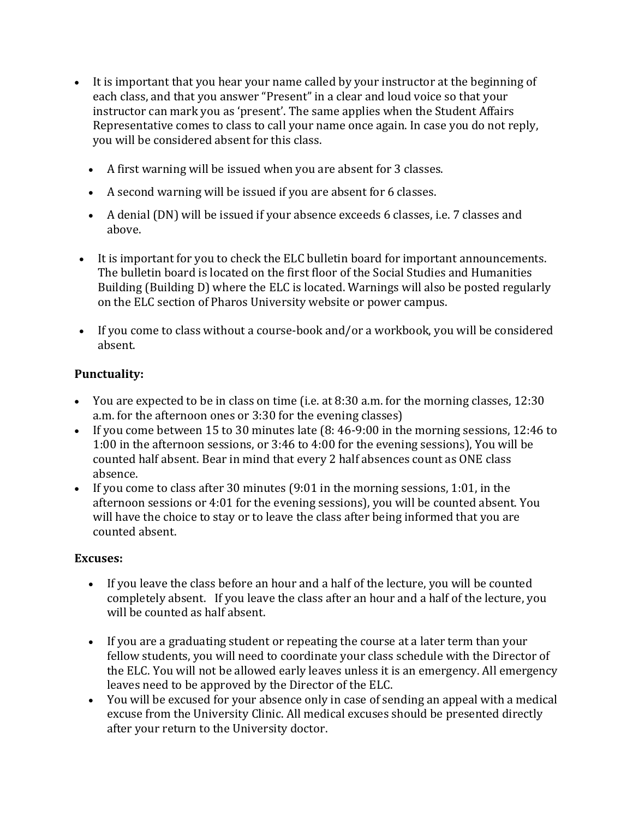- It is important that you hear your name called by your instructor at the beginning of each class, and that you answer "Present" in a clear and loud voice so that your instructor can mark you as 'present'. The same applies when the Student Affairs Representative comes to class to call your name once again. In case you do not reply, you will be considered absent for this class.
	- A first warning will be issued when you are absent for 3 classes.
	- A second warning will be issued if you are absent for 6 classes.
	- A denial (DN) will be issued if your absence exceeds 6 classes, i.e. 7 classes and above.
- It is important for you to check the ELC bulletin board for important announcements. The bulletin board is located on the first floor of the Social Studies and Humanities Building (Building D) where the ELC is located. Warnings will also be posted regularly on the ELC section of Pharos University website or power campus.
- If you come to class without a course-book and/or a workbook, you will be considered absent.

### **Punctuality:**

- You are expected to be in class on time (i.e. at 8:30 a.m. for the morning classes, 12:30 a.m. for the afternoon ones or 3:30 for the evening classes)
- If you come between 15 to 30 minutes late (8: 46-9:00 in the morning sessions, 12:46 to 1:00 in the afternoon sessions, or 3:46 to 4:00 for the evening sessions), You will be counted half absent. Bear in mind that every 2 half absences count as ONE class absence.
- If you come to class after 30 minutes (9:01 in the morning sessions, 1:01, in the afternoon sessions or 4:01 for the evening sessions), you will be counted absent. You will have the choice to stay or to leave the class after being informed that you are counted absent.

### **Excuses:**

- If you leave the class before an hour and a half of the lecture, you will be counted completely absent. If you leave the class after an hour and a half of the lecture, you will be counted as half absent.
- If you are a graduating student or repeating the course at a later term than your fellow students, you will need to coordinate your class schedule with the Director of the ELC. You will not be allowed early leaves unless it is an emergency. All emergency leaves need to be approved by the Director of the ELC.
- You will be excused for your absence only in case of sending an appeal with a medical excuse from the University Clinic. All medical excuses should be presented directly after your return to the University doctor.